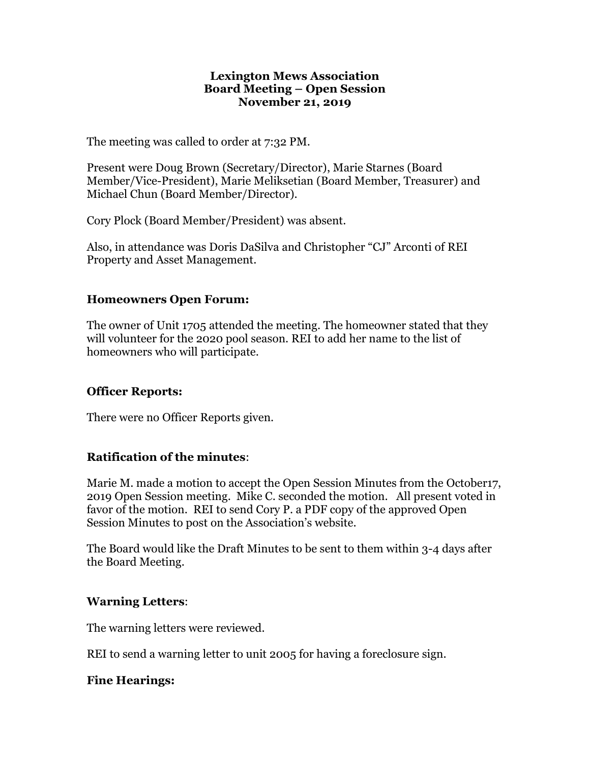#### **Lexington Mews Association Board Meeting – Open Session November 21, 2019**

The meeting was called to order at 7:32 PM.

Present were Doug Brown (Secretary/Director), Marie Starnes (Board Member/Vice-President), Marie Meliksetian (Board Member, Treasurer) and Michael Chun (Board Member/Director).

Cory Plock (Board Member/President) was absent.

Also, in attendance was Doris DaSilva and Christopher "CJ" Arconti of REI Property and Asset Management.

## **Homeowners Open Forum:**

The owner of Unit 1705 attended the meeting. The homeowner stated that they will volunteer for the 2020 pool season. REI to add her name to the list of homeowners who will participate.

## **Officer Reports:**

There were no Officer Reports given.

## **Ratification of the minutes**:

Marie M. made a motion to accept the Open Session Minutes from the October17, 2019 Open Session meeting. Mike C. seconded the motion. All present voted in favor of the motion. REI to send Cory P. a PDF copy of the approved Open Session Minutes to post on the Association's website.

The Board would like the Draft Minutes to be sent to them within 3-4 days after the Board Meeting.

## **Warning Letters**:

The warning letters were reviewed.

REI to send a warning letter to unit 2005 for having a foreclosure sign.

## **Fine Hearings:**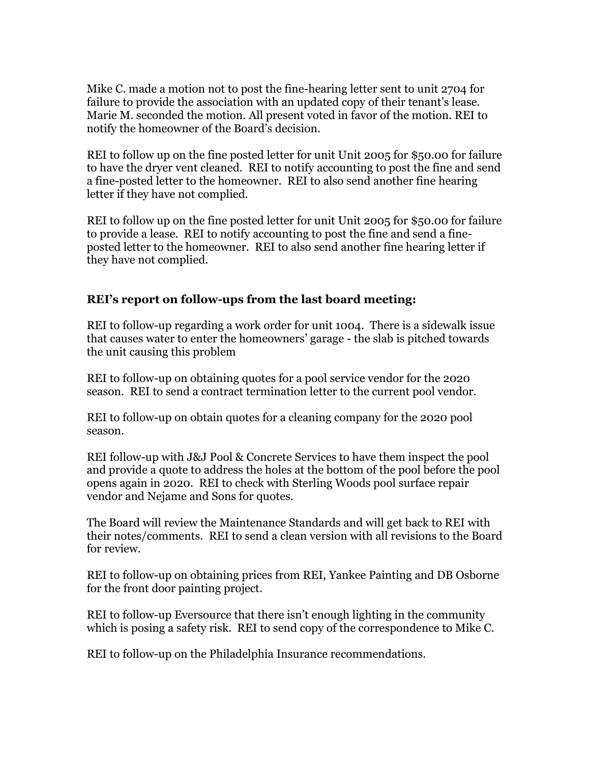Mike C. made a motion not to post the fine-hearing letter sent to unit 2704 for failure to provide the association with an updated copy of their tenant's lease. Marie M. seconded the motion. All present voted in favor of the motion. REI to notify the homeowner of the Board's decision.

REI to follow up on the fine posted letter for unit Unit 2005 for \$50.00 for failure to have the dryer vent cleaned. REI to notify accounting to post the fine and send a fine-posted letter to the homeowner. REI to also send another fine hearing letter if they have not complied.

REI to follow up on the fine posted letter for unit Unit 2005 for \$50.00 for failure to provide a lease. REI to notify accounting to post the fine and send a fineposted letter to the homeowner. REI to also send another fine hearing letter if they have not complied.

### **REI's report on follow-ups from the last board meeting:**

REI to follow-up regarding a work order for unit 1004. There is a sidewalk issue that causes water to enter the homeowners' garage - the slab is pitched towards the unit causing this problem

REI to follow-up on obtaining quotes for a pool service vendor for the 2020 season. REI to send a contract termination letter to the current pool vendor.

REI to follow-up on obtain quotes for a cleaning company for the 2020 pool season.

REI follow-up with J&J Pool & Concrete Services to have them inspect the pool and provide a quote to address the holes at the bottom of the pool before the pool opens again in 2020. REI to check with Sterling Woods pool surface repair vendor and Nejame and Sons for quotes.

The Board will review the Maintenance Standards and will get back to REI with their notes/comments. REI to send a clean version with all revisions to the Board for review.

REI to follow-up on obtaining prices from REI, Yankee Painting and DB Osborne for the front door painting project.

REI to follow-up Eversource that there isn't enough lighting in the community which is posing a safety risk. REI to send copy of the correspondence to Mike C.

REI to follow-up on the Philadelphia Insurance recommendations.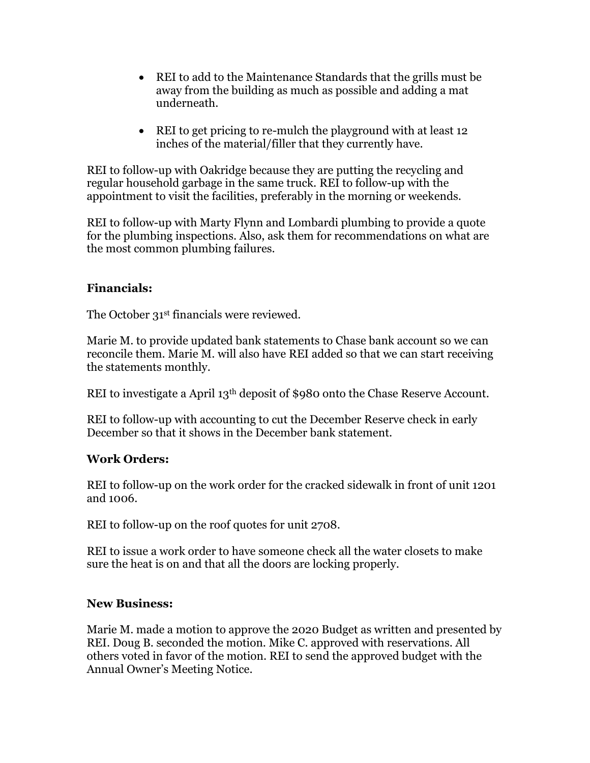- REI to add to the Maintenance Standards that the grills must be away from the building as much as possible and adding a mat underneath.
- REI to get pricing to re-mulch the playground with at least 12 inches of the material/filler that they currently have.

REI to follow-up with Oakridge because they are putting the recycling and regular household garbage in the same truck. REI to follow-up with the appointment to visit the facilities, preferably in the morning or weekends.

REI to follow-up with Marty Flynn and Lombardi plumbing to provide a quote for the plumbing inspections. Also, ask them for recommendations on what are the most common plumbing failures.

## **Financials:**

The October 31<sup>st</sup> financials were reviewed.

Marie M. to provide updated bank statements to Chase bank account so we can reconcile them. Marie M. will also have REI added so that we can start receiving the statements monthly.

REI to investigate a April 13th deposit of \$980 onto the Chase Reserve Account.

REI to follow-up with accounting to cut the December Reserve check in early December so that it shows in the December bank statement.

## **Work Orders:**

REI to follow-up on the work order for the cracked sidewalk in front of unit 1201 and 1006.

REI to follow-up on the roof quotes for unit 2708.

REI to issue a work order to have someone check all the water closets to make sure the heat is on and that all the doors are locking properly.

## **New Business:**

Marie M. made a motion to approve the 2020 Budget as written and presented by REI. Doug B. seconded the motion. Mike C. approved with reservations. All others voted in favor of the motion. REI to send the approved budget with the Annual Owner's Meeting Notice.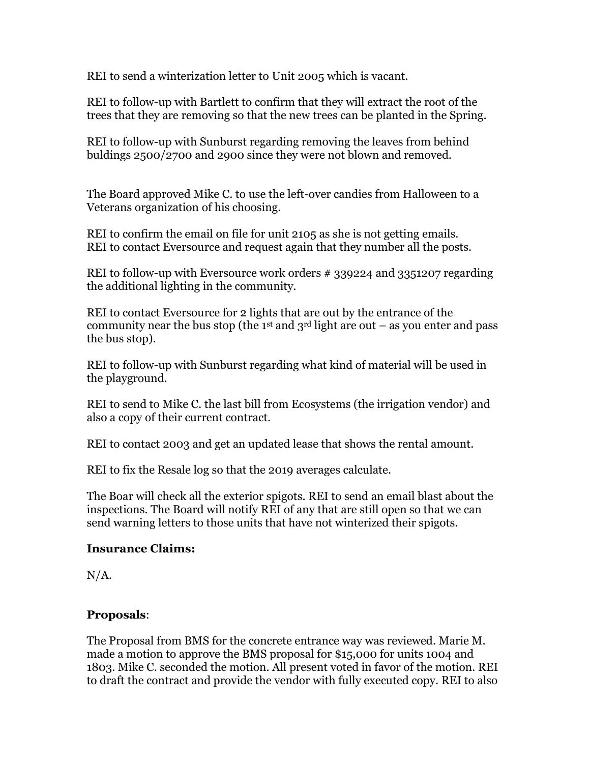REI to send a winterization letter to Unit 2005 which is vacant.

REI to follow-up with Bartlett to confirm that they will extract the root of the trees that they are removing so that the new trees can be planted in the Spring.

REI to follow-up with Sunburst regarding removing the leaves from behind buldings 2500/2700 and 2900 since they were not blown and removed.

The Board approved Mike C. to use the left-over candies from Halloween to a Veterans organization of his choosing.

REI to confirm the email on file for unit 2105 as she is not getting emails. REI to contact Eversource and request again that they number all the posts.

REI to follow-up with Eversource work orders # 339224 and 3351207 regarding the additional lighting in the community.

REI to contact Eversource for 2 lights that are out by the entrance of the community near the bus stop (the 1<sup>st</sup> and 3<sup>rd</sup> light are out – as you enter and pass the bus stop).

REI to follow-up with Sunburst regarding what kind of material will be used in the playground.

REI to send to Mike C. the last bill from Ecosystems (the irrigation vendor) and also a copy of their current contract.

REI to contact 2003 and get an updated lease that shows the rental amount.

REI to fix the Resale log so that the 2019 averages calculate.

The Boar will check all the exterior spigots. REI to send an email blast about the inspections. The Board will notify REI of any that are still open so that we can send warning letters to those units that have not winterized their spigots.

## **Insurance Claims:**

 $N/A$ .

# **Proposals**:

The Proposal from BMS for the concrete entrance way was reviewed. Marie M. made a motion to approve the BMS proposal for \$15,000 for units 1004 and 1803. Mike C. seconded the motion. All present voted in favor of the motion. REI to draft the contract and provide the vendor with fully executed copy. REI to also